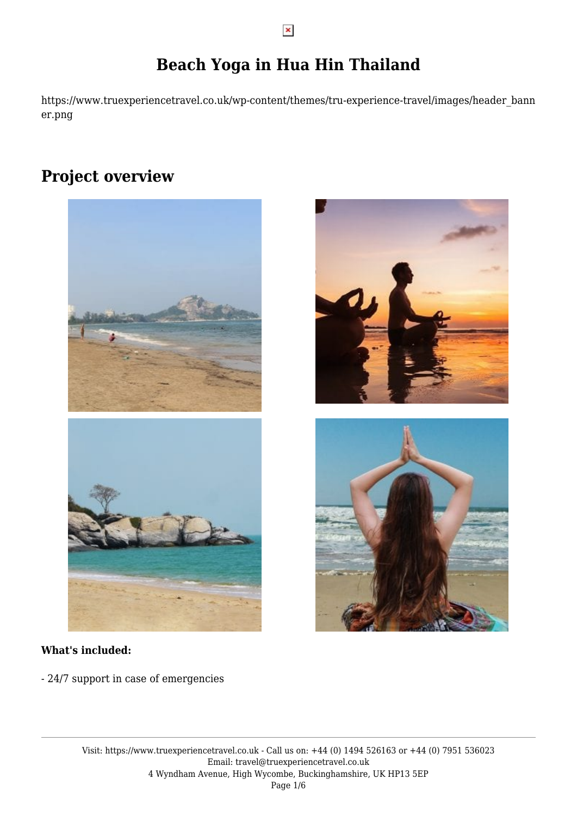## **Beach Yoga in Hua Hin Thailand**

https://www.truexperiencetravel.co.uk/wp-content/themes/tru-experience-travel/images/header\_bann er.png

## **Project overview**







#### **What's included:**

- 24/7 support in case of emergencies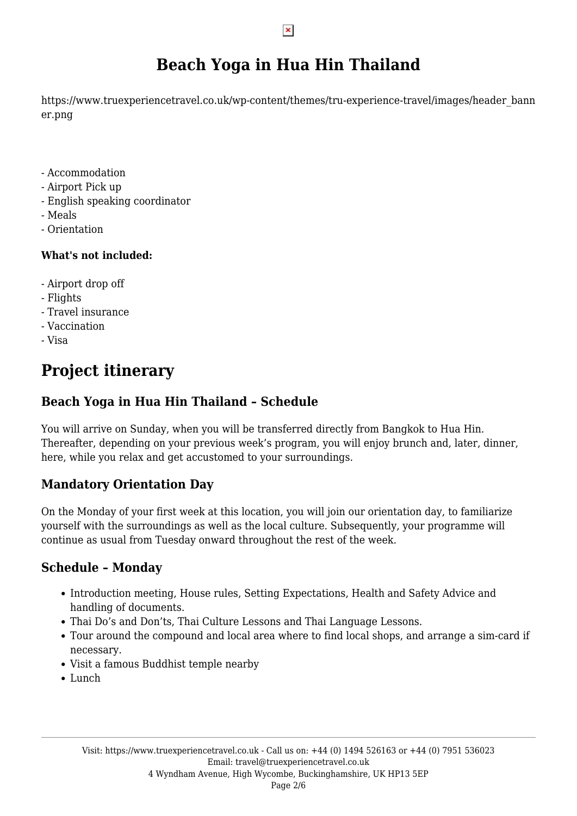## **Beach Yoga in Hua Hin Thailand**

https://www.truexperiencetravel.co.uk/wp-content/themes/tru-experience-travel/images/header\_bann er.png

- Accommodation
- Airport Pick up
- English speaking coordinator
- Meals
- Orientation

#### **What's not included:**

- Airport drop off
- Flights
- Travel insurance
- Vaccination
- Visa

# **Project itinerary**

## **Beach Yoga in Hua Hin Thailand – Schedule**

You will arrive on Sunday, when you will be transferred directly from Bangkok to Hua Hin. Thereafter, depending on your previous week's program, you will enjoy brunch and, later, dinner, here, while you relax and get accustomed to your surroundings.

## **Mandatory Orientation Day**

On the Monday of your first week at this location, you will join our orientation day, to familiarize yourself with the surroundings as well as the local culture. Subsequently, your programme will continue as usual from Tuesday onward throughout the rest of the week.

## **Schedule – Monday**

- Introduction meeting, House rules, Setting Expectations, Health and Safety Advice and handling of documents.
- Thai Do's and Don'ts, Thai Culture Lessons and Thai Language Lessons.
- Tour around the compound and local area where to find local shops, and arrange a sim-card if necessary.
- Visit a famous Buddhist temple nearby
- Lunch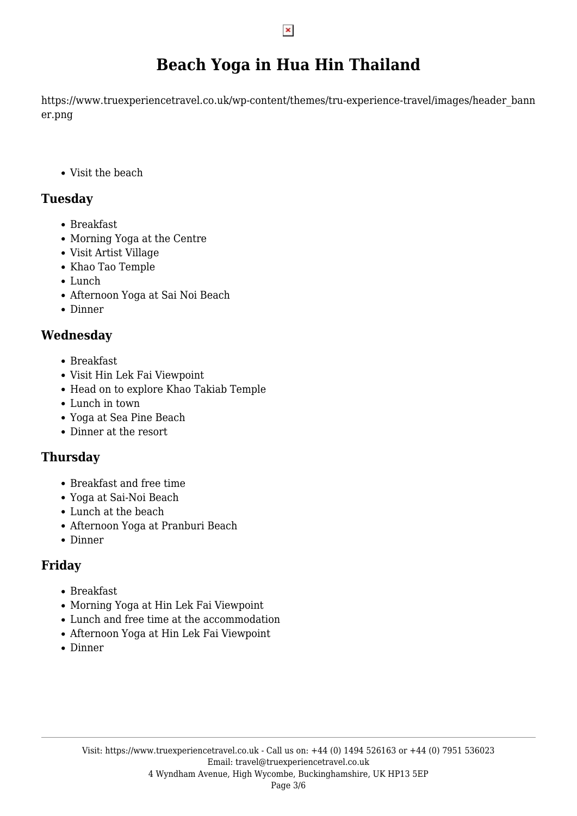## **Beach Yoga in Hua Hin Thailand**

https://www.truexperiencetravel.co.uk/wp-content/themes/tru-experience-travel/images/header\_bann er.png

• Visit the beach

### **Tuesday**

- Breakfast
- Morning Yoga at the Centre
- Visit Artist Village
- Khao Tao Temple
- Lunch
- Afternoon Yoga at Sai Noi Beach
- Dinner

### **Wednesday**

- Breakfast
- Visit Hin Lek Fai Viewpoint
- Head on to explore Khao Takiab Temple
- Lunch in town
- Yoga at Sea Pine Beach
- Dinner at the resort

## **Thursday**

- Breakfast and free time
- Yoga at Sai-Noi Beach
- Lunch at the beach
- Afternoon Yoga at Pranburi Beach
- Dinner

## **Friday**

- Breakfast
- Morning Yoga at Hin Lek Fai Viewpoint
- Lunch and free time at the accommodation
- Afternoon Yoga at Hin Lek Fai Viewpoint
- Dinner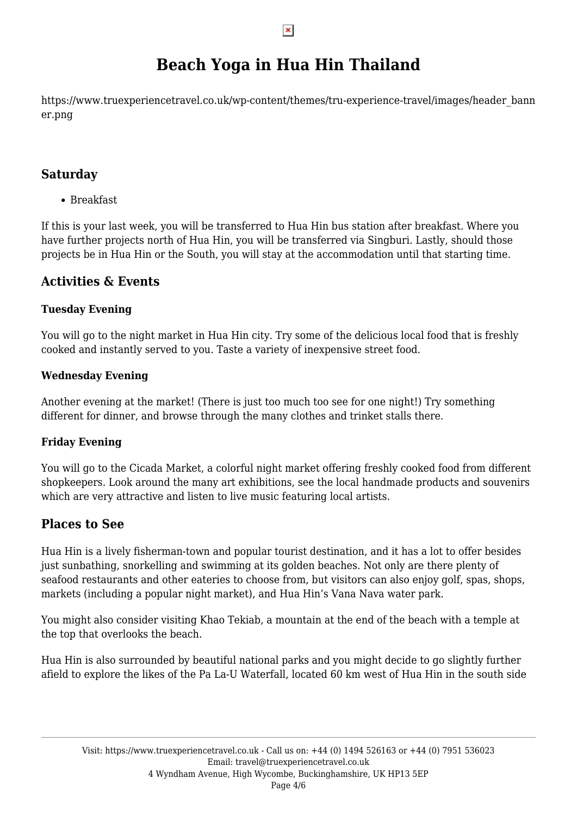## **Beach Yoga in Hua Hin Thailand**

https://www.truexperiencetravel.co.uk/wp-content/themes/tru-experience-travel/images/header\_bann er.png

### **Saturday**

Breakfast

If this is your last week, you will be transferred to Hua Hin bus station after breakfast. Where you have further projects north of Hua Hin, you will be transferred via Singburi. Lastly, should those projects be in Hua Hin or the South, you will stay at the accommodation until that starting time.

### **Activities & Events**

#### **Tuesday Evening**

You will go to the night market in Hua Hin city. Try some of the delicious local food that is freshly cooked and instantly served to you. Taste a variety of inexpensive street food.

#### **Wednesday Evening**

Another evening at the market! (There is just too much too see for one night!) Try something different for dinner, and browse through the many clothes and trinket stalls there.

#### **Friday Evening**

You will go to the Cicada Market, a colorful night market offering freshly cooked food from different shopkeepers. Look around the many art exhibitions, see the local handmade products and souvenirs which are very attractive and listen to live music featuring local artists.

### **Places to See**

Hua Hin is a lively fisherman-town and popular tourist destination, and it has a lot to offer besides just sunbathing, snorkelling and swimming at its golden beaches. Not only are there plenty of seafood restaurants and other eateries to choose from, but visitors can also enjoy golf, spas, shops, markets (including a popular night market), and Hua Hin's Vana Nava water park.

You might also consider visiting Khao Tekiab, a mountain at the end of the beach with a temple at the top that overlooks the beach.

Hua Hin is also surrounded by beautiful national parks and you might decide to go slightly further afield to explore the likes of the Pa La-U Waterfall, located 60 km west of Hua Hin in the south side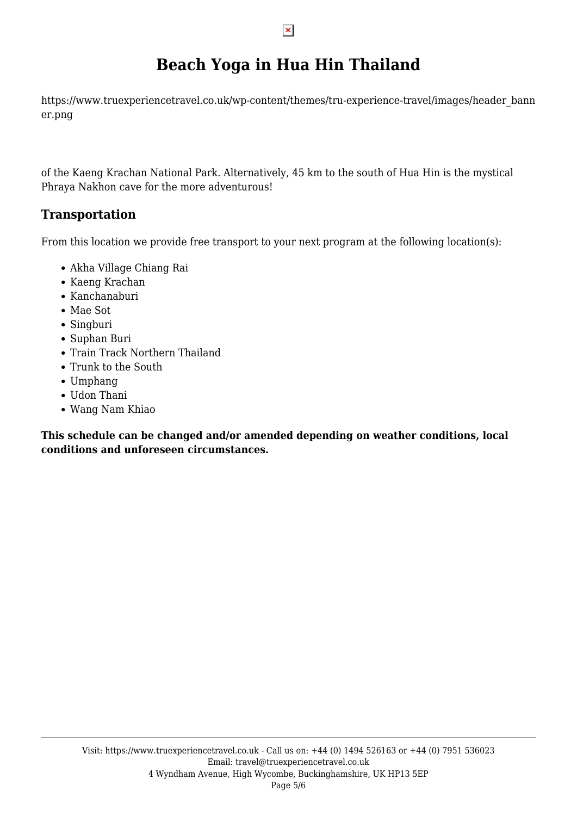## **Beach Yoga in Hua Hin Thailand**

https://www.truexperiencetravel.co.uk/wp-content/themes/tru-experience-travel/images/header\_bann er.png

of the Kaeng Krachan National Park. Alternatively, 45 km to the south of Hua Hin is the mystical Phraya Nakhon cave for the more adventurous!

### **Transportation**

From this location we provide free transport to your next program at the following location(s):

- Akha Village Chiang Rai
- Kaeng Krachan
- Kanchanaburi
- Mae Sot
- Singburi
- Suphan Buri
- Train Track Northern Thailand
- Trunk to the South
- Umphang
- Udon Thani
- Wang Nam Khiao

**This schedule can be changed and/or amended depending on weather conditions, local conditions and unforeseen circumstances.**